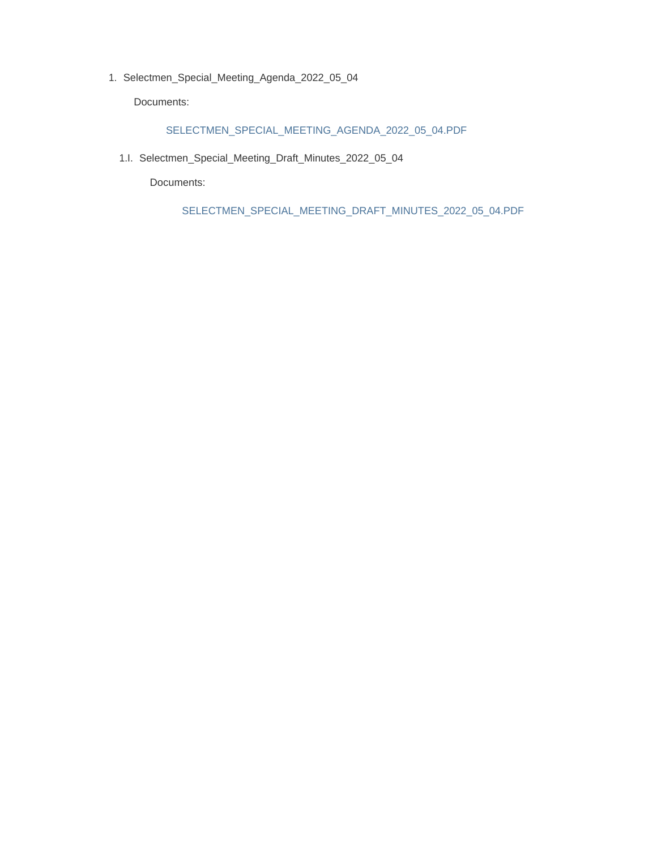Selectmen\_Special\_Meeting\_Agenda\_2022\_05\_04 1.

Documents:

#### SELECTMEN\_SPECIAL\_MEETING\_AGENDA\_2022\_05\_04.PDF

1.I. Selectmen\_Special\_Meeting\_Draft\_Minutes\_2022\_05\_04

Documents:

SELECTMEN\_SPECIAL\_MEETING\_DRAFT\_MINUTES\_2022\_05\_04.PDF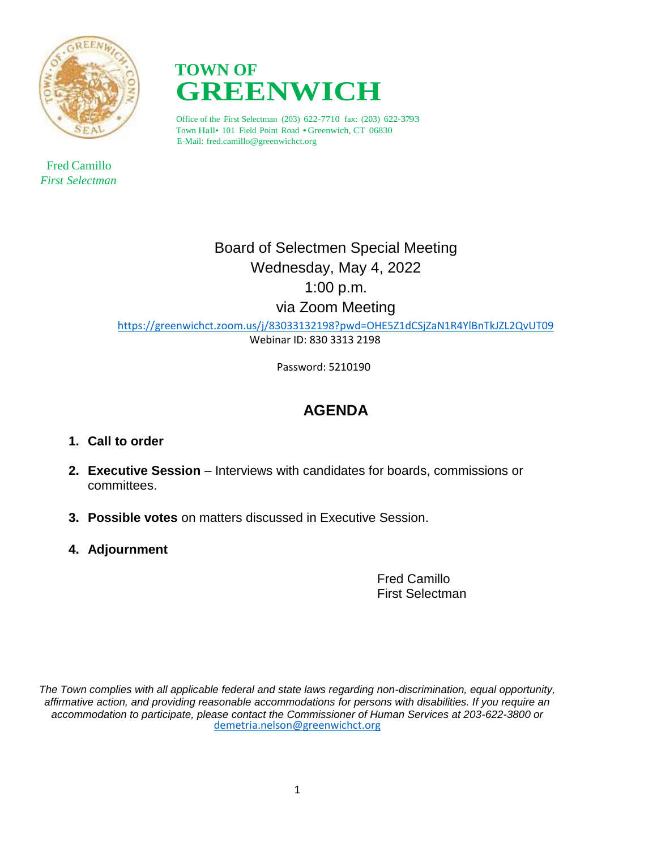

 Fred Camillo *First Selectman*



Office of the First Selectman (203) 622-7710 fax: (203) 622-3793 Town Hall• <sup>101</sup> Field Point Road •Greenwich, CT 06830 E-Mail: fred.camillo@greenwichct.org

> Board of Selectmen Special Meeting Wednesday, May 4, 2022 1:00 p.m. via Zoom Meeting

<https://greenwichct.zoom.us/j/83033132198?pwd=OHE5Z1dCSjZaN1R4YlBnTkJZL2QvUT09> Webinar ID: 830 3313 2198

Password: 5210190

## **AGENDA**

- **1. Call to order**
- **2. Executive Session** Interviews with candidates for boards, commissions or committees.
- **3. Possible votes** on matters discussed in Executive Session.
- **4. Adjournment**

Fred Camillo First Selectman

*The Town complies with all applicable federal and state laws regarding non-discrimination, equal opportunity, affirmative action, and providing reasonable accommodations for persons with disabilities. If you require an accommodation to participate, please contact the Commissioner of Human Services at 203-622-3800 or* [demetria.nelson@greenwichct.org](mailto:demetria.nelson@greenwichct.org)